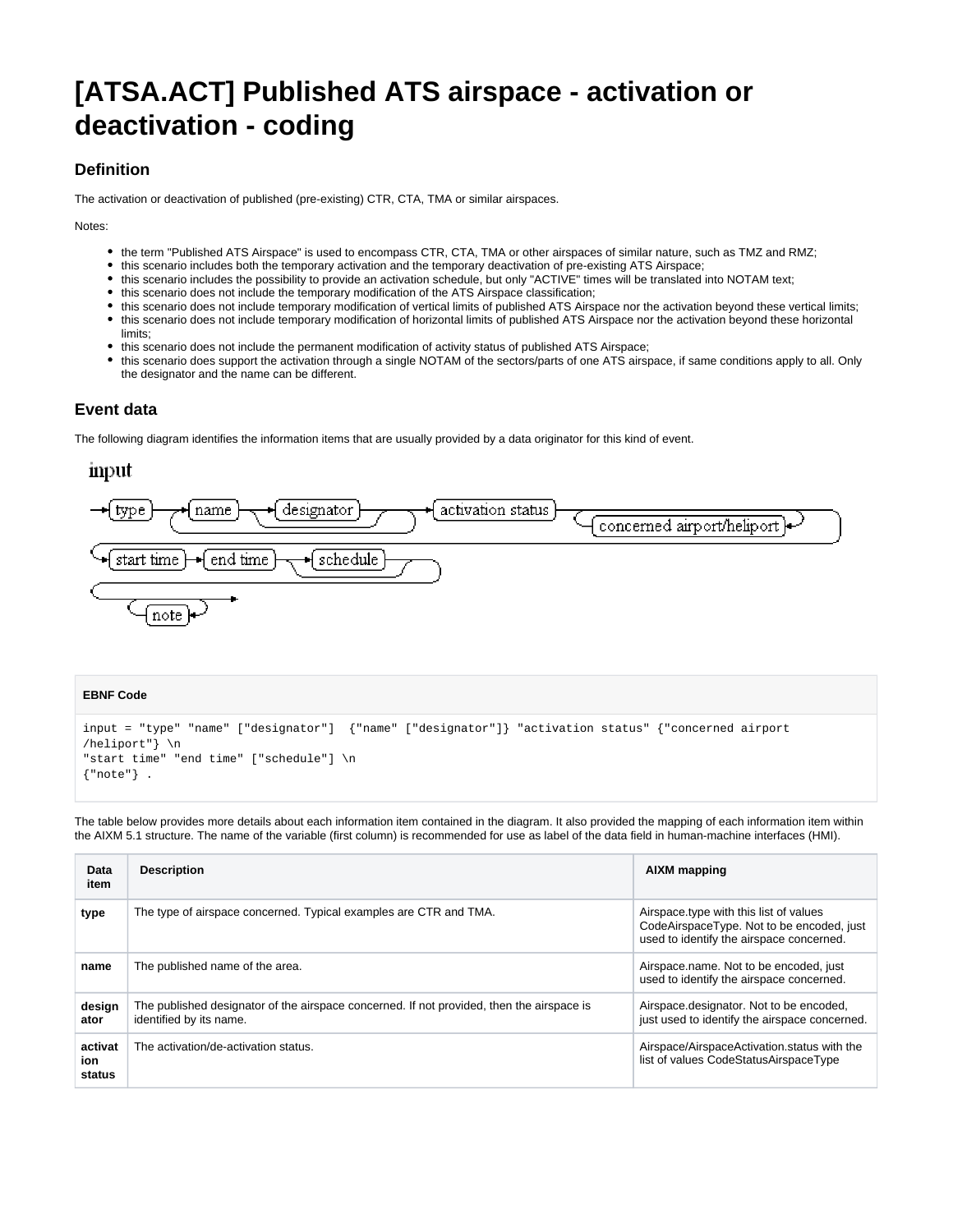# **[ATSA.ACT] Published ATS airspace - activation or deactivation - coding**

# **Definition**

The activation or deactivation of published (pre-existing) CTR, CTA, TMA or similar airspaces.

Notes:

- the term "Published ATS Airspace" is used to encompass CTR, CTA, TMA or other airspaces of similar nature, such as TMZ and RMZ;
- this scenario includes both the temporary activation and the temporary deactivation of pre-existing ATS Airspace;
- this scenario includes the possibility to provide an activation schedule, but only "ACTIVE" times will be translated into NOTAM text;
- this scenario does not include the temporary modification of the ATS Airspace classification;
- this scenario does not include temporary modification of vertical limits of published ATS Airspace nor the activation beyond these vertical limits;
- this scenario does not include temporary modification of horizontal limits of published ATS Airspace nor the activation beyond these horizontal limits;
- this scenario does not include the permanent modification of activity status of published ATS Airspace;
- this scenario does support the activation through a single NOTAM of the sectors/parts of one ATS airspace, if same conditions apply to all. Only the designator and the name can be different.

#### **Event data**

The following diagram identifies the information items that are usually provided by a data originator for this kind of event.

## input



#### **EBNF Code**

```
input = "type" "name" ["designator"] {"name" ["designator"]} "activation status" {"concerned airport
/heliport"} \n 
"start time" "end time" ["schedule"] \n
{"note"} .
```
The table below provides more details about each information item contained in the diagram. It also provided the mapping of each information item within the AIXM 5.1 structure. The name of the variable (first column) is recommended for use as label of the data field in human-machine interfaces (HMI).

| Data<br>item             | <b>Description</b>                                                                                                   | AIXM mapping<br>Airspace.type with this list of values<br>CodeAirspaceType. Not to be encoded, just<br>used to identify the airspace concerned.<br>Airspace.name. Not to be encoded, just<br>used to identify the airspace concerned. |  |
|--------------------------|----------------------------------------------------------------------------------------------------------------------|---------------------------------------------------------------------------------------------------------------------------------------------------------------------------------------------------------------------------------------|--|
| type                     | The type of airspace concerned. Typical examples are CTR and TMA.                                                    |                                                                                                                                                                                                                                       |  |
| name                     | The published name of the area.                                                                                      |                                                                                                                                                                                                                                       |  |
| design<br>ator           | The published designator of the airspace concerned. If not provided, then the airspace is<br>identified by its name. | Airspace.designator. Not to be encoded,<br>just used to identify the airspace concerned.                                                                                                                                              |  |
| activat<br>ion<br>status | The activation/de-activation status.                                                                                 | Airspace/AirspaceActivation.status with the<br>list of values CodeStatusAirspaceType                                                                                                                                                  |  |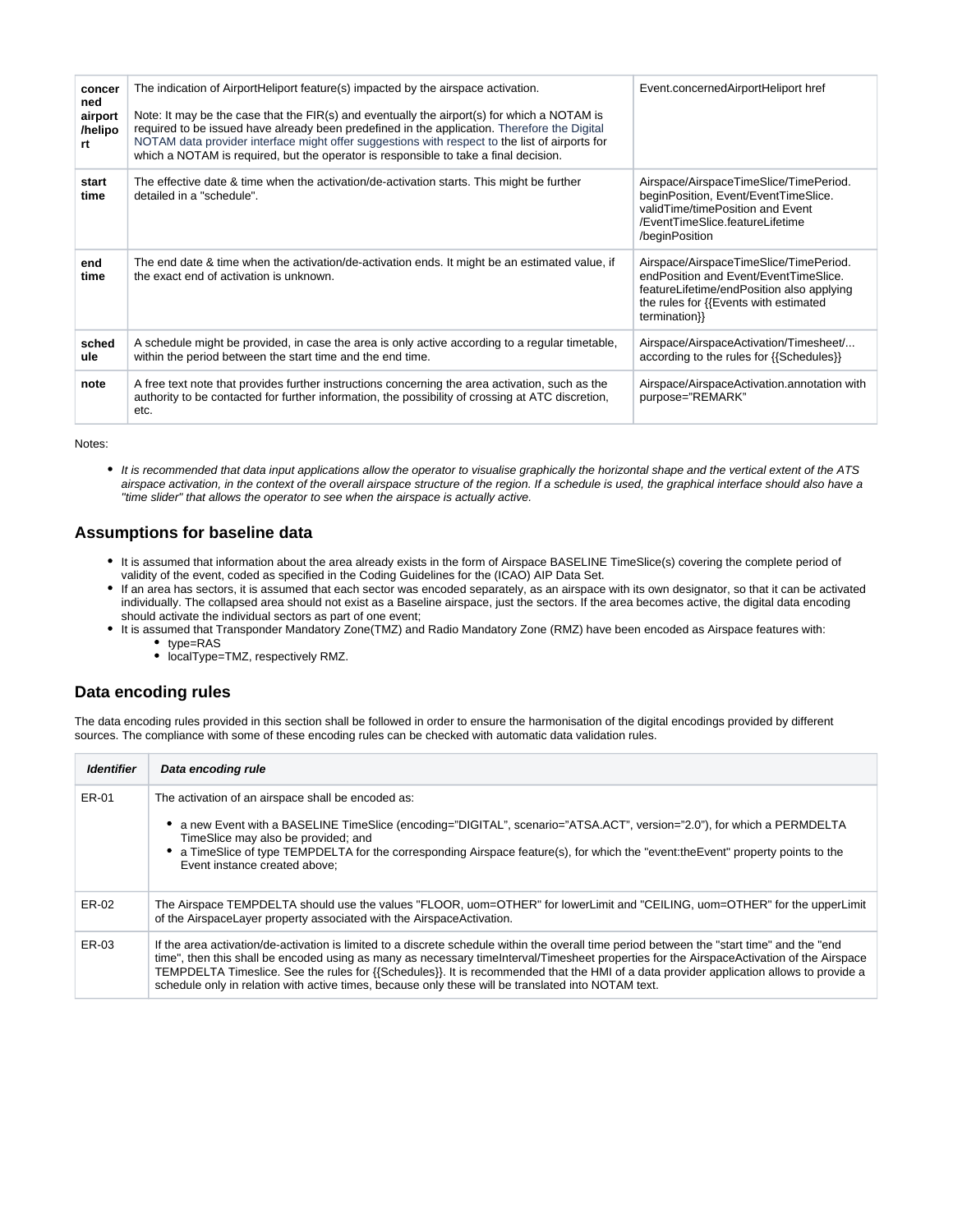| concer<br>ned<br>airport<br>/helipo<br>rt | The indication of AirportHeliport feature(s) impacted by the airspace activation.<br>Note: It may be the case that the FIR(s) and eventually the airport(s) for which a NOTAM is<br>required to be issued have already been predefined in the application. Therefore the Digital<br>NOTAM data provider interface might offer suggestions with respect to the list of airports for<br>which a NOTAM is required, but the operator is responsible to take a final decision. | Event.concernedAirportHeliport href                                                                                                                                                    |
|-------------------------------------------|----------------------------------------------------------------------------------------------------------------------------------------------------------------------------------------------------------------------------------------------------------------------------------------------------------------------------------------------------------------------------------------------------------------------------------------------------------------------------|----------------------------------------------------------------------------------------------------------------------------------------------------------------------------------------|
| start<br>time                             | The effective date & time when the activation/de-activation starts. This might be further<br>detailed in a "schedule".                                                                                                                                                                                                                                                                                                                                                     | Airspace/AirspaceTimeSlice/TimePeriod.<br>beginPosition, Event/EventTimeSlice.<br>validTime/timePosition and Event<br>/EventTimeSlice.featureLifetime<br>/beginPosition                |
| end<br>time                               | The end date & time when the activation/de-activation ends. It might be an estimated value, if<br>the exact end of activation is unknown.                                                                                                                                                                                                                                                                                                                                  | Airspace/AirspaceTimeSlice/TimePeriod.<br>endPosition and Event/EventTimeSlice.<br>featureLifetime/endPosition also applying<br>the rules for {{Events with estimated<br>termination}} |
| sched<br>ule                              | A schedule might be provided, in case the area is only active according to a regular timetable,<br>within the period between the start time and the end time.                                                                                                                                                                                                                                                                                                              | Airspace/AirspaceActivation/Timesheet/<br>according to the rules for {{Schedules}}                                                                                                     |
| note                                      | A free text note that provides further instructions concerning the area activation, such as the<br>authority to be contacted for further information, the possibility of crossing at ATC discretion,<br>etc.                                                                                                                                                                                                                                                               | Airspace/AirspaceActivation.annotation with<br>purpose="REMARK"                                                                                                                        |

Notes:

It is recommended that data input applications allow the operator to visualise graphically the horizontal shape and the vertical extent of the ATS airspace activation, in the context of the overall airspace structure of the region. If a schedule is used, the graphical interface should also have a "time slider" that allows the operator to see when the airspace is actually active.

# **Assumptions for baseline data**

- It is assumed that information about the area already exists in the form of Airspace BASELINE TimeSlice(s) covering the complete period of validity of the event, coded as specified in the Coding Guidelines for the (ICAO) AIP Data Set.
- If an area has sectors, it is assumed that each sector was encoded separately, as an airspace with its own designator, so that it can be activated individually. The collapsed area should not exist as a Baseline airspace, just the sectors. If the area becomes active, the digital data encoding should activate the individual sectors as part of one event;
- It is assumed that Transponder Mandatory Zone(TMZ) and Radio Mandatory Zone (RMZ) have been encoded as Airspace features with:
	- type=RAS
	- localType=TMZ, respectively RMZ.

## **Data encoding rules**

The data encoding rules provided in this section shall be followed in order to ensure the harmonisation of the digital encodings provided by different sources. The compliance with some of these encoding rules can be checked with automatic data validation rules.

| <b>Identifier</b> | Data encoding rule                                                                                                                                                                                                                                                                                                                                                                                                                                                                                                                           |  |
|-------------------|----------------------------------------------------------------------------------------------------------------------------------------------------------------------------------------------------------------------------------------------------------------------------------------------------------------------------------------------------------------------------------------------------------------------------------------------------------------------------------------------------------------------------------------------|--|
| ER-01             | The activation of an airspace shall be encoded as:                                                                                                                                                                                                                                                                                                                                                                                                                                                                                           |  |
|                   | a new Event with a BASELINE TimeSlice (encoding="DIGITAL", scenario="ATSA.ACT", version="2.0"), for which a PERMDELTA<br>TimeSlice may also be provided; and                                                                                                                                                                                                                                                                                                                                                                                 |  |
|                   | • a TimeSlice of type TEMPDELTA for the corresponding Airspace feature(s), for which the "event:theEvent" property points to the<br>Event instance created above:                                                                                                                                                                                                                                                                                                                                                                            |  |
| ER-02             | The Airspace TEMPDELTA should use the values "FLOOR, uom=OTHER" for lowerLimit and "CEILING, uom=OTHER" for the upperLimit<br>of the AirspaceLayer property associated with the AirspaceActivation.                                                                                                                                                                                                                                                                                                                                          |  |
| ER-03             | If the area activation/de-activation is limited to a discrete schedule within the overall time period between the "start time" and the "end"<br>time", then this shall be encoded using as many as necessary time Interval/Timesheet properties for the AirspaceActivation of the Airspace<br>TEMPDELTA Timeslice. See the rules for {{Schedules}}. It is recommended that the HMI of a data provider application allows to provide a<br>schedule only in relation with active times, because only these will be translated into NOTAM text. |  |